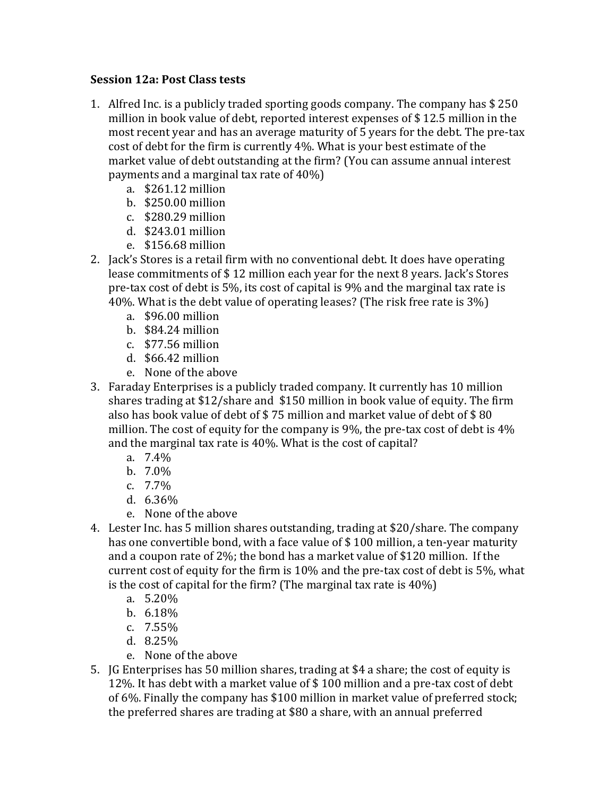## **Session 12a: Post Class tests**

- 1. Alfred Inc. is a publicly traded sporting goods company. The company has  $$250$ million in book value of debt, reported interest expenses of  $$12.5$  million in the most recent year and has an average maturity of 5 years for the debt. The pre-tax cost of debt for the firm is currently 4%. What is your best estimate of the market value of debt outstanding at the firm? (You can assume annual interest payments and a marginal tax rate of  $40\%$ )
	- a. \$261.12 million
	- b. \$250.00 million
	- c. \$280.29 million
	- d. \$243.01 million
	- e. \$156.68 million
- 2. Jack's Stores is a retail firm with no conventional debt. It does have operating lease commitments of \$12 million each year for the next 8 years. Jack's Stores pre-tax cost of debt is  $5\%$ , its cost of capital is  $9\%$  and the marginal tax rate is 40%. What is the debt value of operating leases? (The risk free rate is  $3\%$ )
	- a. \$96.00 million
	- b.  $$84.24$  million
	- c. \$77.56 million
	- d. \$66.42 million
	- e. None of the above
- 3. Faraday Enterprises is a publicly traded company. It currently has 10 million shares trading at  $$12/s$ hare and  $$150$  million in book value of equity. The firm also has book value of debt of  $$75$  million and market value of debt of  $$80$ million. The cost of equity for the company is  $9\%$ , the pre-tax cost of debt is  $4\%$ and the marginal tax rate is  $40\%$ . What is the cost of capital?
	- a. 7.4%
	- b. 7.0%
	- c. 7.7%
	- d. 6.36%
	- e. None of the above
- 4. Lester Inc. has 5 million shares outstanding, trading at \$20/share. The company has one convertible bond, with a face value of  $$100$  million, a ten-year maturity and a coupon rate of  $2\%$ ; the bond has a market value of \$120 million. If the current cost of equity for the firm is  $10\%$  and the pre-tax cost of debt is 5%, what is the cost of capital for the firm? (The marginal tax rate is  $40\%$ )
	- a. 5.20%
	- b. 6.18%
	- c. 7.55%
	- d. 8.25%
	- e. None of the above
- 5. IG Enterprises has 50 million shares, trading at \$4 a share; the cost of equity is 12%. It has debt with a market value of  $$100$  million and a pre-tax cost of debt of 6%. Finally the company has \$100 million in market value of preferred stock; the preferred shares are trading at \$80 a share, with an annual preferred